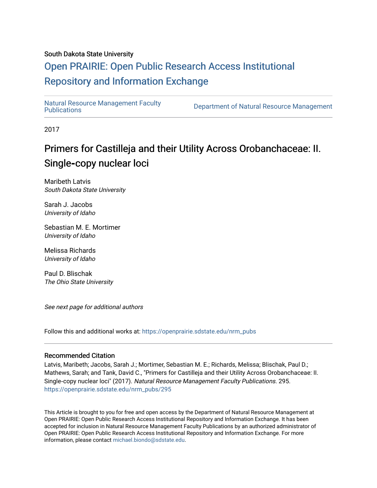### South Dakota State University

## [Open PRAIRIE: Open Public Research Access Institutional](https://openprairie.sdstate.edu/)  [Repository and Information Exchange](https://openprairie.sdstate.edu/)

Natural Resource Management Faculty<br>Publications

Department of Natural Resource Management

2017

# Primers for Castilleja and their Utility Across Orobanchaceae: II. Single**‐**copy nuclear loci

Maribeth Latvis South Dakota State University

Sarah J. Jacobs University of Idaho

Sebastian M. E. Mortimer University of Idaho

Melissa Richards University of Idaho

Paul D. Blischak The Ohio State University

See next page for additional authors

Follow this and additional works at: [https://openprairie.sdstate.edu/nrm\\_pubs](https://openprairie.sdstate.edu/nrm_pubs?utm_source=openprairie.sdstate.edu%2Fnrm_pubs%2F295&utm_medium=PDF&utm_campaign=PDFCoverPages)

#### Recommended Citation

Latvis, Maribeth; Jacobs, Sarah J.; Mortimer, Sebastian M. E.; Richards, Melissa; Blischak, Paul D.; Mathews, Sarah; and Tank, David C., "Primers for Castilleja and their Utility Across Orobanchaceae: II. Single‐copy nuclear loci" (2017). Natural Resource Management Faculty Publications. 295. [https://openprairie.sdstate.edu/nrm\\_pubs/295](https://openprairie.sdstate.edu/nrm_pubs/295?utm_source=openprairie.sdstate.edu%2Fnrm_pubs%2F295&utm_medium=PDF&utm_campaign=PDFCoverPages)

This Article is brought to you for free and open access by the Department of Natural Resource Management at Open PRAIRIE: Open Public Research Access Institutional Repository and Information Exchange. It has been accepted for inclusion in Natural Resource Management Faculty Publications by an authorized administrator of Open PRAIRIE: Open Public Research Access Institutional Repository and Information Exchange. For more information, please contact [michael.biondo@sdstate.edu](mailto:michael.biondo@sdstate.edu).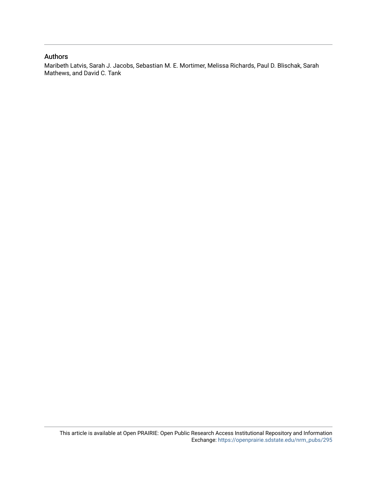#### Authors

Maribeth Latvis, Sarah J. Jacobs, Sebastian M. E. Mortimer, Melissa Richards, Paul D. Blischak, Sarah Mathews, and David C. Tank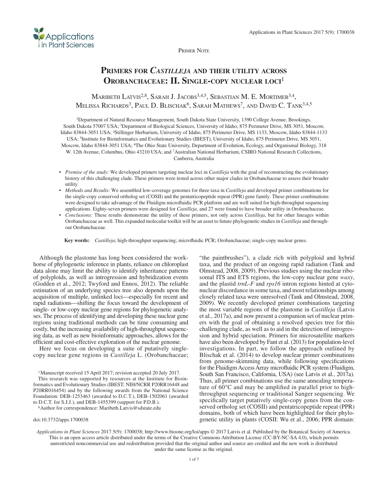

Primer Note

## **Primers for** *Castilleja* **and their utility across Orobanchaceae: II. Single-copy nuclear loci**<sup>1</sup>

### MARIBETH LATVIS<sup>2,8</sup>, SARAH J. JACOBS<sup>3,4,5</sup>, SEBASTIAN M. E. MORTIMER<sup>3,4</sup>, MELISSA RICHARDS<sup>3</sup>, PAUL D. BLISCHAK<sup>6</sup>, SARAH MATHEWS<sup>7</sup>, AND DAVID C. TANK<sup>3,4,5</sup>

2Department of Natural Resource Management, South Dakota State University, 1390 College Avenue, Brookings, South Dakota 57007 USA; 3Department of Biological Sciences, University of Idaho, 875 Perimeter Drive, MS 3051, Moscow, Idaho 83844-3051 USA; 4Stillinger Herbarium, University of Idaho, 875 Perimeter Drive, MS 1133, Moscow, Idaho 83844-1133 USA; 5Institute for Bioinformatics and Evolutionary Studies (IBEST), University of Idaho, 875 Perimeter Drive, MS 3051, Moscow, Idaho 83844-3051 USA; 6The Ohio State University, Department of Evolution, Ecology, and Organismal Biology, 318 W. 12th Avenue, Columbus, Ohio 43210 USA; and 7Australian National Herbarium, CSIRO National Research Collections, Canberra, Australia

- *Premise of the study:* We developed primers targeting nuclear loci in *Castilleja* with the goal of reconstructing the evolutionary history of this challenging clade. These primers were tested across other major clades in Orobanchaceae to assess their broader utility.
- • *Methods and Results:* We assembled low-coverage genomes for three taxa in *Castilleja* and developed primer combinations for the single-copy conserved ortholog set (COSII) and the pentatricopeptide repeat (PPR) gene family. These primer combinations were designed to take advantage of the Fluidigm microfluidic PCR platform and are well suited for high-throughput sequencing applications. Eighty-seven primers were designed for *Castilleja*, and 27 were found to have broader utility in Orobanchaceae.
- *Conclusions:* These results demonstrate the utility of these primers, not only across *Castilleja*, but for other lineages within Orobanchaceae as well. This expanded molecular toolkit will be an asset to future phylogenetic studies in *Castilleja* and throughout Orobanchaceae.

**Key words:** *Castilleja*; high-throughput sequencing; microfluidic PCR; Orobanchaceae; single-copy nuclear genes.

Although the plastome has long been considered the workhorse of phylogenetic inference in plants, reliance on chloroplast data alone may limit the ability to identify inheritance patterns of polyploids, as well as introgression and hybridization events (Godden et al., 2012; Twyford and Ennos, 2012). The reliable estimation of an underlying species tree also depends upon the acquisition of multiple, unlinked loci—especially for recent and rapid radiations—shifting the focus toward the development of single- or low-copy nuclear gene regions for phylogenetic analyses. The process of identifying and developing these nuclear gene regions using traditional methods can be time consuming and costly, but the increasing availability of high-throughput sequencing data, as well as new bioinformatic approaches, allows for the efficient and cost-effective exploration of the nuclear genome.

Here we focus on developing a suite of putatively singlecopy nuclear gene regions in *Castilleja* L. (Orobanchaceae;

1Manuscript received 15 April 2017; revision accepted 20 July 2017.

This research was supported by resources at the Institute for Bioinformatics and Evolutionary Studies (IBEST; NIH/NCRR P20RR16448 and P20RR016454) and by the following awards from the National Science Foundation: DEB-1253463 (awarded to D.C.T.), DEB-1502061 (awarded to D.C.T. for S.J.J.), and DEB-1455399 (support for P.D.B.).

8Author for correspondence: Maribeth.Latvis@sdstate.edu

"the paintbrushes"), a clade rich with polyploid and hybrid taxa, and the product of an ongoing rapid radiation (Tank and Olmstead, 2008, 2009). Previous studies using the nuclear ribosomal ITS and ETS regions, the low-copy nuclear gene *waxy*, and the plastid *trnL-F* and *rps16* intron regions hinted at cytonuclear discordance in some taxa, and most relationships among closely related taxa were unresolved (Tank and Olmstead, 2008, 2009). We recently developed primer combinations targeting the most variable regions of the plastome in *Castilleja* (Latvis et al., 2017a), and now present a companion set of nuclear primers with the goal of obtaining a resolved species tree for this challenging clade, as well as to aid in the detection of introgression and hybrid speciation. Primers for microsatellite markers have also been developed by Fant et al. (2013) for population-level investigations. In part, we follow the approach outlined by Blischak et al. (2014) to develop nuclear primer combinations from genome-skimming data, while following specifications for the Fluidigm Access Array microfluidic PCR system (Fluidigm, South San Francisco, California, USA) (see Latvis et al., 2017a). Thus, all primer combinations use the same annealing temperature of  $60^{\circ}$ C and may be amplified in parallel prior to highthroughput sequencing or traditional Sanger sequencing. We specifically target putatively single-copy genes from the conserved ortholog set (COSII) and pentatricopeptide repeat (PPR) domains, both of which have been highlighted for their phylogenetic utility in plants (COSII: Wu et al., 2006; PPR domain:

doi:10.3732/apps.1700038

*Applications in Plant Sciences* 2017 5(9): 1700038;<http://www.bioone.org/loi/apps> © 2017 Latvis et al. Published by the Botanical Society of America. This is an open access article distributed under the terms of the Creative Commons Attribution License ([CC-BY-NC-SA 4.0](https://creativecommons.org/licenses/by-nc-sa/4.0/)), which permits unrestricted noncommercial use and redistribution provided that the original author and source are credited and the new work is distributed under the same license as the original.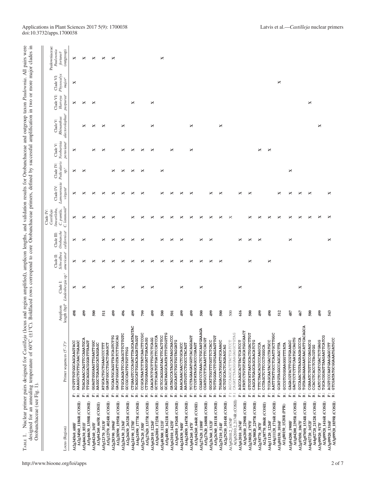| s                                                      | $\Xi$                                                                                        |   |
|--------------------------------------------------------|----------------------------------------------------------------------------------------------|---|
|                                                        | adac                                                                                         |   |
| $\ddot{\mathbf{z}}$                                    |                                                                                              |   |
| Ĭ                                                      | lification in two or more maior cl                                                           |   |
|                                                        |                                                                                              |   |
| 0.1111111717                                           |                                                                                              |   |
|                                                        | ו<br>ג<br>ג                                                                                  |   |
|                                                        |                                                                                              |   |
|                                                        |                                                                                              |   |
|                                                        |                                                                                              |   |
|                                                        |                                                                                              |   |
|                                                        | :                                                                                            |   |
| hacee and outcount tayon <i>Poul</i><br>av and varavan | a by encepering around                                                                       |   |
| 5                                                      | 5<br>j                                                                                       |   |
|                                                        |                                                                                              |   |
| ١                                                      |                                                                                              |   |
| <b>Contract Inc. Associate</b>                         | )<br>J                                                                                       |   |
|                                                        | datina                                                                                       |   |
|                                                        |                                                                                              |   |
|                                                        | . مەممە:                                                                                     |   |
|                                                        |                                                                                              |   |
| :                                                      |                                                                                              |   |
|                                                        |                                                                                              |   |
|                                                        |                                                                                              |   |
| licon lengths, and validation results for              | a to core l'impone                                                                           |   |
|                                                        |                                                                                              |   |
|                                                        |                                                                                              |   |
|                                                        |                                                                                              |   |
| こくさく こてく キャーチャーク                                       |                                                                                              |   |
|                                                        |                                                                                              |   |
|                                                        |                                                                                              |   |
|                                                        | Poldfood roue correcte                                                                       |   |
|                                                        |                                                                                              |   |
|                                                        | ֪ׅ֧֧֪ׅ֪ׅ֖֧ׅׅ֧֧֪ׅ֪ׅ֪ׅ֖֧ׅ֧֚֚֚֚֚֚֚֚֚֚֚֚֚֚֚֚֚֚֚֚֚֚֚֚֚֚֚֚֚֚֚֡֕֡֡֡֡֡֡֡֡֝֬֝֝֝֬֝֝֬֝֓֞֬֝֝֬֝֬֝֬֝֬֝֬֝֝֬ |   |
| and res                                                |                                                                                              |   |
|                                                        |                                                                                              |   |
|                                                        | $\overline{ }$                                                                               |   |
|                                                        |                                                                                              |   |
|                                                        |                                                                                              |   |
|                                                        |                                                                                              |   |
|                                                        |                                                                                              |   |
|                                                        |                                                                                              |   |
|                                                        |                                                                                              |   |
|                                                        |                                                                                              | í |
|                                                        | nanlına                                                                                      |   |
|                                                        | j                                                                                            |   |
|                                                        |                                                                                              |   |
|                                                        | or an an                                                                                     |   |
|                                                        |                                                                                              |   |
|                                                        |                                                                                              | j |
| ļ                                                      |                                                                                              | ļ |
| $\lambda$ DT<br>E                                      |                                                                                              |   |
|                                                        |                                                                                              |   |

| Locus (Region)                                                       | Primer sequences (5'-3') <sup>a</sup>                                 | Amplicon         | length (bp) <sup>b</sup> Lindenbergia sp. <sup>c</sup><br>Clade I: | americana <sup>c</sup><br>Schwalbea<br>Clade II: | californica <sup>c</sup><br>Orobanche<br>Clade III: | C. lemmonii <sup>d</sup><br>lineariloba,<br>C. pumila,<br>Castilleja<br>Clade IV: | Lamourouxia<br>Clade IV:<br>virgata <sup>e</sup> | Pedicularis<br>Clade IV:<br>$\mathrm{sp}^\mathrm{c}$ | Neobartsia<br>peruviana <sup>c</sup><br>Clade V: | alectorolophus <sup>c</sup><br>Rhinanthus<br>Clade V: | Clade VI:<br>purpureac<br>Harveya | Physocatyx<br>Clade VI:<br>major | Paulowniaceae:<br>Paulownia<br>(dnorano)<br>fortunei <sup>c</sup> |
|----------------------------------------------------------------------|-----------------------------------------------------------------------|------------------|--------------------------------------------------------------------|--------------------------------------------------|-----------------------------------------------------|-----------------------------------------------------------------------------------|--------------------------------------------------|------------------------------------------------------|--------------------------------------------------|-------------------------------------------------------|-----------------------------------|----------------------------------|-------------------------------------------------------------------|
| At2g34560 688F                                                       | AAAGGCTGTTGCAACTGAAGC<br>CTGTTTGTGGCAGCAAGTACC<br>$\ddot{\bf k}$<br>Ŀ | 498              | ×                                                                  | ×                                                | ×                                                   | ×                                                                                 | ×                                                | ×                                                    | ×                                                |                                                       | ×                                 | ×                                | ×                                                                 |
| At5g46630_1350R (COSII)<br>A12g34560_1186R (COSII)<br>At5g46630_851F | TGACAAACCAGTTCCAAATGCA<br>TTGGCAGGACGGGATTTAAGT<br>ä                  | 499              | ×                                                                  | ×                                                | ×                                                   | ×                                                                                 | ×                                                | ×                                                    |                                                  | ×                                                     | ×                                 |                                  | ×                                                                 |
| At3g04260_665R (COSII)<br>At3g04260_165F                             | GGAGTGGGAAGTTGAATTGGC<br>AAGGCTGAAGGCATAGGAGC<br>$\ddot{\mathbf{k}}$  | 500              |                                                                    | ×                                                |                                                     | ×                                                                                 | ×                                                |                                                      | ×                                                | ×                                                     | ×                                 |                                  | ×                                                                 |
| At5g12370_4024R (COSII)<br>At5g12370_3513F                           | ATGCACTGCTGAAGCCCTTT<br>GAGATGGCCTGACTGAAGCT<br>ä                     | $\overline{5}1$  |                                                                    | ×                                                | ×                                                   | ×                                                                                 | ×                                                |                                                      | ×                                                | ×                                                     |                                   |                                  | ×                                                                 |
| At2g28390_1595R (COSII)<br>At2g28390_1096F                           | GACATGGGATTGTATCTTGGCAG<br>TGCAATGCAGGTTATCAGTCTTG<br>ä               | 499              | ×                                                                  | ×                                                | ×                                                   | ×                                                                                 | ×                                                | ×                                                    |                                                  |                                                       |                                   |                                  | ×                                                                 |
| A12g26430_2632R (COSII)<br>At2g26430_2136F                           | TTGCAAGATTCCAAGCTTCTTGTC<br>GCCGCCAGTTGTTTTGG<br>ä                    | 496              | ×                                                                  | ×                                                | ×                                                   |                                                                                   | ×                                                | ×                                                    | ×                                                | ×                                                     |                                   |                                  |                                                                   |
| At4g24190_1777R (COSII)<br>At4g24190_1278F                           | CTGAAGTCCCAGATTTAGCAATAGTAC<br>TCAGGCATTGGACAAGATTAGGT                | 499              |                                                                    | ×                                                | ×                                                   | ×                                                                                 | ×                                                | ×                                                    | ×                                                |                                                       | ×                                 |                                  |                                                                   |
| At5g27620_1337R (COSII)<br>At5g27620_538F                            | CCGCATAATCTTATCAACTTCCGC<br>CTTGGGAAAGGGATTGAACAGG<br>q               | 799              | ×                                                                  | ×                                                | ×                                                   | ×                                                                                 | ×                                                | ×                                                    | ×                                                |                                                       |                                   |                                  |                                                                   |
| At3g62010_1725R (COSII)<br>At3g62010_1226F                           | GCTTCAGATGTTGATTCCATCCA<br>CAACATCTGCTTGCTCTCAGG                      | 499              | ×                                                                  | ×                                                |                                                     | ×                                                                                 |                                                  |                                                      | ×                                                | ×                                                     | ×                                 |                                  |                                                                   |
| At5g48300_1621R (COSII)<br>At5g48300_1121F                           | GCAGTAAGGCAATATTTGTGGTTG<br>GCTCCAGGAATAACTTCACTTCC<br>ĸ              | 500              |                                                                    | ×                                                | ×                                                   | ×                                                                                 | ×                                                | ×                                                    |                                                  |                                                       |                                   |                                  | ×                                                                 |
| At3g62010_1926R (COSII)<br>At3g62010_1425F                           | GATAGCCATAGCATAAGCAACCC<br>AGGCAATCTGGTGGTAGGATG<br>ä                 | $\overline{501}$ |                                                                    | ×                                                | ×                                                   | ×                                                                                 | ×                                                |                                                      | ×                                                |                                                       |                                   |                                  |                                                                   |
| At4g24830_1447R (COSII)<br>At4g24830_948F                            | AAACAAACAACCTCGCAGCC<br>AAGTGGTCCTGGCCTACAGT<br>R:                    | 499              | ×                                                                  | ×                                                | ×                                                   | ×                                                                                 | ×                                                |                                                      |                                                  |                                                       |                                   |                                  |                                                                   |
| At3g04260_646R (COSII)<br>At3g04260_147F                             | TCCTAGAAGATGGTCACAGGAGT<br>CTCGTATAGCAGCCCGAAGT<br>q                  | 499              |                                                                    | ×                                                |                                                     | ×                                                                                 | ×                                                |                                                      | ×                                                | ×                                                     |                                   |                                  |                                                                   |
| At5g27620_1680R (COSII)<br>At5g27620_1180F                           | CGAATCCTAAACTCTGCAATGAAAGA<br>CGATGCCTTCAAATTTCCACGT                  | 500              | ×                                                                  | ×                                                | ×                                                   | ×                                                                                 |                                                  |                                                      |                                                  |                                                       |                                   |                                  |                                                                   |
| At5g26360_I811R (COSII)<br>At5g26360_1312F                           | TGTTGGGACTTGTGAAGAGTTGT<br>GGCATTGGTTTGGTTCTCACC<br>ĸ                 | 499              |                                                                    | ×                                                | ×                                                   | ×                                                                                 | ×                                                |                                                      |                                                  |                                                       |                                   |                                  |                                                                   |
| At2g29210_1014R (COSII)<br>At2g29210_514F                            | TGAGACCATGGATTGCAAAGC<br>GCTGTGCACTCAGAAGCAG<br>ä                     | 500              |                                                                    | ×                                                |                                                     | ×                                                                                 | ×                                                |                                                      |                                                  | ×                                                     |                                   |                                  |                                                                   |
| At3g62010.2_2174R (COSII)<br>At3g62010.2_1674F                       | CAGATCTAAGGGAAGAGCTGTAG<br>AGCCAAGCACTTACTCATCCT<br>$\alpha$          | 500              |                                                                    |                                                  |                                                     | ×                                                                                 |                                                  |                                                      |                                                  |                                                       |                                   |                                  |                                                                   |
| At3g62010_2290R (COSII)<br>At3g62010_1674F                           | ATATCCTGTGTATAGCATGGCAACT<br>AGCCAAGCACTTACTCATCCT<br>Ä               | 616              | ×                                                                  |                                                  | ×                                                   |                                                                                   | ×                                                |                                                      |                                                  |                                                       |                                   |                                  |                                                                   |
| At2g38020_2297R (COSII)<br>At2g38020_1797F                           | GTCGTATTAATGCACTGGACTTGT<br>CAGCATGAGCAGCAACATCTG<br>R                | 500              |                                                                    | ×                                                | ×                                                   | ×                                                                                 | ×                                                |                                                      |                                                  |                                                       |                                   |                                  |                                                                   |
| At2g38770_886R (COSII)<br>At2g38770_387F                             | TTTCTAACACGCCCAAGCCA<br>CCTAGCTCTTCCCTGGGCA<br>ĸ                      | 499              |                                                                    |                                                  | ×                                                   | ×                                                                                 |                                                  |                                                      | ×                                                |                                                       |                                   |                                  |                                                                   |
| At4g11120_1716R (COSII)<br>At4g11120_1226F                           | AATTTATTGCCTCAATTGCTTGGC<br>TCCAGCAATACGACCTATGCC<br>ä                | $\frac{490}{5}$  |                                                                    | ×                                                |                                                     | ×                                                                                 |                                                  |                                                      | ×                                                |                                                       |                                   |                                  |                                                                   |
| At1g80150_1528R (PPR)<br>At1g80150_1016F                             | GCCGTCGGGAAGGGTTTATA<br>GCATGTAGGCCAGCAGCTTA<br>ä                     | 512              |                                                                    |                                                  |                                                     | ×                                                                                 | ×                                                |                                                      |                                                  |                                                       |                                   | ×                                |                                                                   |
| Atlg04200_2395R (COSII)<br>At1g04200_1908F                           | GACTCCTCTTTCAATGCCAGTG<br>GAGACGTACTTGCGTGAAAGC<br>ä                  | 487              |                                                                    |                                                  | ×                                                   | ×                                                                                 | ×                                                | ×                                                    |                                                  |                                                       |                                   |                                  |                                                                   |
| At2g07050_1534R (COSII)<br>At2g07050_1067F                           | TGTAGAGAAAGAATAACATTCACAGCA<br>GCCAAACTGTAAGAAGAGCCCA<br>ä            | 467              | ×                                                                  |                                                  |                                                     | ×                                                                                 | ×                                                |                                                      |                                                  |                                                       |                                   |                                  |                                                                   |
| At4g02720_2152R (COSII)<br>At4g02720_1652F                           | CGAAATCTGTTTCCGAGAGCG<br>CCACCTCACCTCTACGTGG<br>ä                     | 500              |                                                                    |                                                  |                                                     | ×                                                                                 | ×                                                |                                                      |                                                  |                                                       | ×                                 |                                  |                                                                   |
| At3g09920_1416R (COSII)<br>At3g09920_917F                            | TGCACGGAGTTAAGAATTCATCG<br>CATCCTCCATCGACTCTGAGG                      | 499              |                                                                    |                                                  |                                                     | ×                                                                                 |                                                  |                                                      |                                                  | ×                                                     |                                   |                                  |                                                                   |
| At3g09920_1859R (COSII)<br>At3g09920_1316F                           | GTCGATATGCGGAAATGATGCC<br>ACGTCCCAATGAAGAGCCTT<br>ä                   | 543              |                                                                    |                                                  | ×                                                   | ×                                                                                 |                                                  |                                                      |                                                  |                                                       |                                   |                                  |                                                                   |
|                                                                      |                                                                       |                  |                                                                    |                                                  |                                                     |                                                                                   |                                                  |                                                      |                                                  |                                                       |                                   |                                  |                                                                   |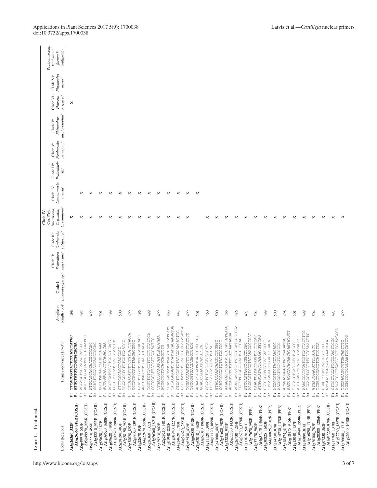| Physocalyx<br>Clade VI:<br>$major^c$<br>Clade VI:<br>purpurea <sup>c</sup><br>Harveya<br>×<br>alectorolophus <sup>c</sup><br>Rhinanthus<br>Clade V:<br>Neobartsia<br>peruviana <sup>c</sup><br>Clade V:<br>Pedicularis<br>Clade IV:<br>$\mathrm{sp}^\mathrm{c}$<br>Lamourouxia<br>Clade IV:<br>virgata <sup>e</sup><br>×<br>×<br>×<br>×<br>×<br>×<br>×<br>×<br>×<br>×<br>×<br>×<br>×<br>C. lemnonii <sup>d</sup><br>lineariloba,<br>C. punila,<br>Castilleja<br>×<br>×<br>×<br>×<br>×<br>×<br>×<br>×<br>×<br>×<br>×<br>×<br>×<br>×<br>×<br>×<br>×<br>×<br>×<br>×<br>×<br>×<br>×<br>$\times$<br>×<br>×<br>×<br>×<br>californica <sup>c</sup><br>Orobanche<br>Clade III:<br>americana <sup>c</sup><br>Schwalbea<br>Clade II:<br>length (bp) <sup>b</sup> Lindenbergia sp. <sup>c</sup><br>Clade I:<br>Amplicon<br>495<br>499<br>500<br>500<br>496<br>499<br>499<br>496<br>499<br>499<br>399<br>43<br>499<br>501<br>460<br>499<br>486<br>504<br>499<br>500<br>498<br>499<br>508<br>497<br>499<br>501<br>497<br>504<br>501<br>TATAAAGGGTTCATGATACAAGGTGG<br>CAGTTATATTCAACAGCTCAGAGATGG<br>AAAGAGCCTAATCATCTATTGTGAAC<br>TCATAACTATGTAAGCCAACCATGATT<br>AGATAACATTATCTATCGATCCATGGA<br>AACATCATTCACGTATTTGAAACCCA<br>CTCGTTCCCTGTATACCAAGATTG<br>AAACCCATCGATCGTCATTACTTTG<br>AACCATGCACACAACATAATATGCT<br>TCCACCTOCATTEATGAAACTTG<br>TGGAACAAATGCTTCGATTACTCC<br>AAGGAGTTCGGTATAAAGCCTGAT<br>TTTGACATTTCCTGTTGCTACCA<br>TGGTTCTCACCTTTCTTGTACTCA<br>ACCAGTCTGTTGCTAATACGA<br>CAACTCATACCGGGTTTCTTCAC<br>ATGGGTATGCTCAGAATGGTCAG<br>TTGAATGCAGGCAGTTAATGGAA<br>ACAAATAGATATGACCTGCCGA<br>TGGGTCCTCAGAAATTCCATCTG<br>AGCTGCGGAAATTGATGAAATCC<br>GAATTEGTTGCATACAGC<br>TTCACCGGTATTCCCATCTATGC<br>GGTGCGATTATGTTGGACTTG<br>TGTTTCAGGACAAGTGCTCAG<br>CTTGCTACATTCCCAACTTCGG<br>AGTGGAGCTCAAATGCATAGGT<br>ACGGATGAAGCTATCGAGATGC<br>GGATCCGGATGTATTGCTGCT<br>GTACACAAACAAGTCGGGC<br>TTCAAAGACCGGACTTGACA<br>GTCAATCCACGGCGAAATCAA<br>TGCAAGAGCCTGACAATTTC<br>AGCTCATATGTTGCAGGGAGG<br>TGCAACCTGTTCCTGAATGG<br>GGTGACATGGTGATGATCGT<br>CCTCCTCCATCCATGCAATCT<br>CGTACAGCATTTAAGACGCGC<br>Primer sequences (5'-3') <sup>a</sup><br>AGTCTAGCTTGACGCCACA<br>ACGGGCTTGTACCTAACAGG<br>ATGCTATGTCTGTGGCACGA<br>ATCCAGCACGAACCCTCAAC<br>GGATTTGCAAGGAGCTCCAC<br>GGTCTACAGCGAGCCTGAAA<br>ACCCGACACCCTCAGATCAA<br>TGCCGGTGAAGAGAGTCATG<br>ATCCAATAGCCGGCCTTAC<br>AACGGCCTCTCATGCTC<br>TCGGCTCCACCTCATTCTCA<br>AGCAGCTACAAGACCATCGC<br>CCCATGTGAAGCTGGATA<br>TGTAGCTCACCATGTCAGGC<br>GGACCTCATCAACGGTTCC<br>GCTTGTGCAGCCATTCCAG<br>GCACATGGAGCACGTTTG<br>ACCGCCCTACAGCAGTTG<br>GTGATCGACGTTTGTGCC<br>GTTTCCCAGGTCACCCGC<br>$\stackrel{\ldots}{\mathbb{H}}\stackrel{\ldots}{\mathbb{K}}$<br>$\ddot{\underline{\omega}}$<br>$\stackrel{\ldots}{\bowtie} \stackrel{\ldots}{\varpropto}$<br>$\stackrel{\ldots}{\bowtie} \stackrel{\ldots}{\bowtie}$<br>$\stackrel{\ldots}{\bowtie} \stackrel{\ldots}{\bowtie}$<br>$\stackrel{\ldots}{\bowtie} \stackrel{\ldots}{\bowtie}$<br>$\ddot{\underline{\omega}}$<br>$\ddot{\underline{\kappa}}$<br>$\ddot{\underline{\kappa}}$<br>$\ddot{\underline{\kappa}}$<br>$\stackrel{\ldots}{\bowtie} \stackrel{\ldots}{\varpropto}$<br>$\stackrel{\ldots}{\bowtie} \stackrel{\ldots}{\bowtie}$<br>$\stackrel{\ldots}{\bowtie} \stackrel{\ldots}{\cong}$<br>$\ddot{\tilde{\kappa}}$<br>$\stackrel{\ldots}{\bowtie} \stackrel{\ldots}{\cong}$<br>$\ddot{\cong}$<br>$\ddot{\cong}$<br>$\stackrel{\ldots}{\bowtie} \stackrel{\ldots}{\bowtie}$<br>$\stackrel{\ldots}{\bowtie} \stackrel{\ldots}{\bowtie}$<br>Ë,<br>$\stackrel{}{\simeq}$<br>$\stackrel{\ldots}{\bowtie} \stackrel{\ldots}{\varpropto}$<br>$\ddot{\underline{\mathbf{h}}}$<br>$\stackrel{}{\simeq}$<br>Ë,<br>$\stackrel{}{\simeq}$<br>Ë,<br>$\ddot{\simeq}$<br>高麗<br>Ë,<br>$\ddot{\tilde{\textrm{\i}}}$<br>$\ddot{\underline{\mathbf{h}}}$<br>$\ddot{\tilde{\kappa}}$<br>Ë,<br>Ë,<br>$\ddot{\tilde{\kappa}}$<br>$\ddot{\tilde{\kappa}}$<br>$\stackrel{}{\scriptscriptstyle{\sim}}\stackrel{}{\scriptscriptstyle{\sim}}$<br>$\stackrel{}{\scriptscriptstyle{\sim}}\stackrel{}{\scriptscriptstyle{\sim}}$<br>$\mathbb{E}$<br>$\mathbb{E}_{\mathbb{H}}$<br>$\mathbb{E}$<br>$\mathbb{E}$<br>At5g26360_1821R (COSII)<br>Atlg09620_1688R (COSII)<br>At2g29210_1401R (COSII)<br>Atlg01940_1227R (COSII)<br>At4g24620_2223R (COSII)<br>At4g11120_1859R (COSII)<br>At5g22830_1432R (COSII)<br>Atlg09620_1989R (COSII)<br>At2g38020_1391R (COSII)<br>At3g62010_1969R (COSII)<br>At3g26730_1770R (COSII)<br>Atl g17760_1867R (COSII)<br>At1g07230_870R (COSII)<br>Atl g26640_1670R (COSII)<br>At4g22670_589R (COSII)<br>At5g62530_938R (COSII)<br>At2g41680_902R (COSII)<br>At5g49970_998R (COSII)<br>At5g52210_955R (COSII)<br>At2g28190_983R (COSII)<br>A15g26360_818R (COSII)<br>At4g37170_1466R (PPR)<br>At4g30825_2102R (PPR)<br>At1g13040_1958R (PPR)<br>At3g14730_1378R (PPR)<br>At1g16890_1315R (PPR)<br>Åt1g20300_1286R (PPR)<br>At2g17670_998R (PPR)<br>At5g18475_915R (PPR)<br>At1g17760_1370F<br>At1g26640_1171F<br>At4g24620_1780F<br>At1g09620_1187F<br>Atlg09620_1490F<br>At5g26360_1322F<br>At4g11120_1399F<br>At1g13040_1457F<br>At3g62010_1468F<br>At3g26730_1284F<br>At4g30825_1603F<br>At4g37170_962F<br>At1g07230_362F<br>At2g29210_902F<br>Atlg01940_828F<br>At2g41680_402F<br>At2g17670_501F<br>At3g14730_878F<br>At5g18475_417F<br>At1g16890_816F<br>At1g20300_782F<br>At2g28190_483F<br>At2g38020_892F<br>At5g62530_439F<br>At5g22830_933F<br>At5g26360_322F<br>At5g49970_503F<br>At5g52210_456F<br>At4g22670_93F<br>Locus (Region) |  |  |  | Clade IV: |  |  |  |                                     |
|-----------------------------------------------------------------------------------------------------------------------------------------------------------------------------------------------------------------------------------------------------------------------------------------------------------------------------------------------------------------------------------------------------------------------------------------------------------------------------------------------------------------------------------------------------------------------------------------------------------------------------------------------------------------------------------------------------------------------------------------------------------------------------------------------------------------------------------------------------------------------------------------------------------------------------------------------------------------------------------------------------------------------------------------------------------------------------------------------------------------------------------------------------------------------------------------------------------------------------------------------------------------------------------------------------------------------------------------------------------------------------------------------------------------------------------------------------------------------------------------------------------------------------------------------------------------------------------------------------------------------------------------------------------------------------------------------------------------------------------------------------------------------------------------------------------------------------------------------------------------------------------------------------------------------------------------------------------------------------------------------------------------------------------------------------------------------------------------------------------------------------------------------------------------------------------------------------------------------------------------------------------------------------------------------------------------------------------------------------------------------------------------------------------------------------------------------------------------------------------------------------------------------------------------------------------------------------------------------------------------------------------------------------------------------------------------------------------------------------------------------------------------------------------------------------------------------------------------------------------------------------------------------------------------------------------------------------------------------------------------------------------------------------------------------------------------------------------------------------------------------------------------------------------------------------------------------------------------------------------------------------------------------------------------------------------------------------------------------------------------------------------------------------------------------------------------------------------------------------------------------------------------------------------------------------------------------------------------------------------------------------------------------------------------------------------------------------------------------------------------------------------------------------------------------------------------------------------------------------------------------------------------------------------------------------------------------------------------------------------------------------------------------------------------------------------------------------------------------------------------------------------------------------------------------------------------------------------------------------------------------------------------------------------------------------------------------------------------------------------------------------------------------------------------------------------------------------------------------------------------------------------------------------------------------------------------------------------------------------------------------------------------------------------------------------------------------------------------------------------------------------------------------------------------------------------------------------------------------------------------------------------------------------------------------------------------------------------------------------------------------------------------------------------------------------------------------------------------------------------------------------------------------------------------------------------------------------------------------------------------------------------------------------------------------------------------------------------------------------------------------------------------------------------------------------------------------------------------------------------------------------------------------|--|--|--|-----------|--|--|--|-------------------------------------|
|                                                                                                                                                                                                                                                                                                                                                                                                                                                                                                                                                                                                                                                                                                                                                                                                                                                                                                                                                                                                                                                                                                                                                                                                                                                                                                                                                                                                                                                                                                                                                                                                                                                                                                                                                                                                                                                                                                                                                                                                                                                                                                                                                                                                                                                                                                                                                                                                                                                                                                                                                                                                                                                                                                                                                                                                                                                                                                                                                                                                                                                                                                                                                                                                                                                                                                                                                                                                                                                                                                                                                                                                                                                                                                                                                                                                                                                                                                                                                                                                                                                                                                                                                                                                                                                                                                                                                                                                                                                                                                                                                                                                                                                                                                                                                                                                                                                                                                                                                                                                                                                                                                                                                                                                                                                                                                                                                                                                                                                                                                                       |  |  |  |           |  |  |  | Paulowniaceae:<br>Paulownia         |
|                                                                                                                                                                                                                                                                                                                                                                                                                                                                                                                                                                                                                                                                                                                                                                                                                                                                                                                                                                                                                                                                                                                                                                                                                                                                                                                                                                                                                                                                                                                                                                                                                                                                                                                                                                                                                                                                                                                                                                                                                                                                                                                                                                                                                                                                                                                                                                                                                                                                                                                                                                                                                                                                                                                                                                                                                                                                                                                                                                                                                                                                                                                                                                                                                                                                                                                                                                                                                                                                                                                                                                                                                                                                                                                                                                                                                                                                                                                                                                                                                                                                                                                                                                                                                                                                                                                                                                                                                                                                                                                                                                                                                                                                                                                                                                                                                                                                                                                                                                                                                                                                                                                                                                                                                                                                                                                                                                                                                                                                                                                       |  |  |  |           |  |  |  | (outgroup)<br>fortunei <sup>c</sup> |
|                                                                                                                                                                                                                                                                                                                                                                                                                                                                                                                                                                                                                                                                                                                                                                                                                                                                                                                                                                                                                                                                                                                                                                                                                                                                                                                                                                                                                                                                                                                                                                                                                                                                                                                                                                                                                                                                                                                                                                                                                                                                                                                                                                                                                                                                                                                                                                                                                                                                                                                                                                                                                                                                                                                                                                                                                                                                                                                                                                                                                                                                                                                                                                                                                                                                                                                                                                                                                                                                                                                                                                                                                                                                                                                                                                                                                                                                                                                                                                                                                                                                                                                                                                                                                                                                                                                                                                                                                                                                                                                                                                                                                                                                                                                                                                                                                                                                                                                                                                                                                                                                                                                                                                                                                                                                                                                                                                                                                                                                                                                       |  |  |  |           |  |  |  |                                     |
|                                                                                                                                                                                                                                                                                                                                                                                                                                                                                                                                                                                                                                                                                                                                                                                                                                                                                                                                                                                                                                                                                                                                                                                                                                                                                                                                                                                                                                                                                                                                                                                                                                                                                                                                                                                                                                                                                                                                                                                                                                                                                                                                                                                                                                                                                                                                                                                                                                                                                                                                                                                                                                                                                                                                                                                                                                                                                                                                                                                                                                                                                                                                                                                                                                                                                                                                                                                                                                                                                                                                                                                                                                                                                                                                                                                                                                                                                                                                                                                                                                                                                                                                                                                                                                                                                                                                                                                                                                                                                                                                                                                                                                                                                                                                                                                                                                                                                                                                                                                                                                                                                                                                                                                                                                                                                                                                                                                                                                                                                                                       |  |  |  |           |  |  |  |                                     |
|                                                                                                                                                                                                                                                                                                                                                                                                                                                                                                                                                                                                                                                                                                                                                                                                                                                                                                                                                                                                                                                                                                                                                                                                                                                                                                                                                                                                                                                                                                                                                                                                                                                                                                                                                                                                                                                                                                                                                                                                                                                                                                                                                                                                                                                                                                                                                                                                                                                                                                                                                                                                                                                                                                                                                                                                                                                                                                                                                                                                                                                                                                                                                                                                                                                                                                                                                                                                                                                                                                                                                                                                                                                                                                                                                                                                                                                                                                                                                                                                                                                                                                                                                                                                                                                                                                                                                                                                                                                                                                                                                                                                                                                                                                                                                                                                                                                                                                                                                                                                                                                                                                                                                                                                                                                                                                                                                                                                                                                                                                                       |  |  |  |           |  |  |  |                                     |
|                                                                                                                                                                                                                                                                                                                                                                                                                                                                                                                                                                                                                                                                                                                                                                                                                                                                                                                                                                                                                                                                                                                                                                                                                                                                                                                                                                                                                                                                                                                                                                                                                                                                                                                                                                                                                                                                                                                                                                                                                                                                                                                                                                                                                                                                                                                                                                                                                                                                                                                                                                                                                                                                                                                                                                                                                                                                                                                                                                                                                                                                                                                                                                                                                                                                                                                                                                                                                                                                                                                                                                                                                                                                                                                                                                                                                                                                                                                                                                                                                                                                                                                                                                                                                                                                                                                                                                                                                                                                                                                                                                                                                                                                                                                                                                                                                                                                                                                                                                                                                                                                                                                                                                                                                                                                                                                                                                                                                                                                                                                       |  |  |  |           |  |  |  |                                     |
|                                                                                                                                                                                                                                                                                                                                                                                                                                                                                                                                                                                                                                                                                                                                                                                                                                                                                                                                                                                                                                                                                                                                                                                                                                                                                                                                                                                                                                                                                                                                                                                                                                                                                                                                                                                                                                                                                                                                                                                                                                                                                                                                                                                                                                                                                                                                                                                                                                                                                                                                                                                                                                                                                                                                                                                                                                                                                                                                                                                                                                                                                                                                                                                                                                                                                                                                                                                                                                                                                                                                                                                                                                                                                                                                                                                                                                                                                                                                                                                                                                                                                                                                                                                                                                                                                                                                                                                                                                                                                                                                                                                                                                                                                                                                                                                                                                                                                                                                                                                                                                                                                                                                                                                                                                                                                                                                                                                                                                                                                                                       |  |  |  |           |  |  |  |                                     |
|                                                                                                                                                                                                                                                                                                                                                                                                                                                                                                                                                                                                                                                                                                                                                                                                                                                                                                                                                                                                                                                                                                                                                                                                                                                                                                                                                                                                                                                                                                                                                                                                                                                                                                                                                                                                                                                                                                                                                                                                                                                                                                                                                                                                                                                                                                                                                                                                                                                                                                                                                                                                                                                                                                                                                                                                                                                                                                                                                                                                                                                                                                                                                                                                                                                                                                                                                                                                                                                                                                                                                                                                                                                                                                                                                                                                                                                                                                                                                                                                                                                                                                                                                                                                                                                                                                                                                                                                                                                                                                                                                                                                                                                                                                                                                                                                                                                                                                                                                                                                                                                                                                                                                                                                                                                                                                                                                                                                                                                                                                                       |  |  |  |           |  |  |  |                                     |
|                                                                                                                                                                                                                                                                                                                                                                                                                                                                                                                                                                                                                                                                                                                                                                                                                                                                                                                                                                                                                                                                                                                                                                                                                                                                                                                                                                                                                                                                                                                                                                                                                                                                                                                                                                                                                                                                                                                                                                                                                                                                                                                                                                                                                                                                                                                                                                                                                                                                                                                                                                                                                                                                                                                                                                                                                                                                                                                                                                                                                                                                                                                                                                                                                                                                                                                                                                                                                                                                                                                                                                                                                                                                                                                                                                                                                                                                                                                                                                                                                                                                                                                                                                                                                                                                                                                                                                                                                                                                                                                                                                                                                                                                                                                                                                                                                                                                                                                                                                                                                                                                                                                                                                                                                                                                                                                                                                                                                                                                                                                       |  |  |  |           |  |  |  |                                     |
|                                                                                                                                                                                                                                                                                                                                                                                                                                                                                                                                                                                                                                                                                                                                                                                                                                                                                                                                                                                                                                                                                                                                                                                                                                                                                                                                                                                                                                                                                                                                                                                                                                                                                                                                                                                                                                                                                                                                                                                                                                                                                                                                                                                                                                                                                                                                                                                                                                                                                                                                                                                                                                                                                                                                                                                                                                                                                                                                                                                                                                                                                                                                                                                                                                                                                                                                                                                                                                                                                                                                                                                                                                                                                                                                                                                                                                                                                                                                                                                                                                                                                                                                                                                                                                                                                                                                                                                                                                                                                                                                                                                                                                                                                                                                                                                                                                                                                                                                                                                                                                                                                                                                                                                                                                                                                                                                                                                                                                                                                                                       |  |  |  |           |  |  |  |                                     |
|                                                                                                                                                                                                                                                                                                                                                                                                                                                                                                                                                                                                                                                                                                                                                                                                                                                                                                                                                                                                                                                                                                                                                                                                                                                                                                                                                                                                                                                                                                                                                                                                                                                                                                                                                                                                                                                                                                                                                                                                                                                                                                                                                                                                                                                                                                                                                                                                                                                                                                                                                                                                                                                                                                                                                                                                                                                                                                                                                                                                                                                                                                                                                                                                                                                                                                                                                                                                                                                                                                                                                                                                                                                                                                                                                                                                                                                                                                                                                                                                                                                                                                                                                                                                                                                                                                                                                                                                                                                                                                                                                                                                                                                                                                                                                                                                                                                                                                                                                                                                                                                                                                                                                                                                                                                                                                                                                                                                                                                                                                                       |  |  |  |           |  |  |  |                                     |
|                                                                                                                                                                                                                                                                                                                                                                                                                                                                                                                                                                                                                                                                                                                                                                                                                                                                                                                                                                                                                                                                                                                                                                                                                                                                                                                                                                                                                                                                                                                                                                                                                                                                                                                                                                                                                                                                                                                                                                                                                                                                                                                                                                                                                                                                                                                                                                                                                                                                                                                                                                                                                                                                                                                                                                                                                                                                                                                                                                                                                                                                                                                                                                                                                                                                                                                                                                                                                                                                                                                                                                                                                                                                                                                                                                                                                                                                                                                                                                                                                                                                                                                                                                                                                                                                                                                                                                                                                                                                                                                                                                                                                                                                                                                                                                                                                                                                                                                                                                                                                                                                                                                                                                                                                                                                                                                                                                                                                                                                                                                       |  |  |  |           |  |  |  |                                     |
|                                                                                                                                                                                                                                                                                                                                                                                                                                                                                                                                                                                                                                                                                                                                                                                                                                                                                                                                                                                                                                                                                                                                                                                                                                                                                                                                                                                                                                                                                                                                                                                                                                                                                                                                                                                                                                                                                                                                                                                                                                                                                                                                                                                                                                                                                                                                                                                                                                                                                                                                                                                                                                                                                                                                                                                                                                                                                                                                                                                                                                                                                                                                                                                                                                                                                                                                                                                                                                                                                                                                                                                                                                                                                                                                                                                                                                                                                                                                                                                                                                                                                                                                                                                                                                                                                                                                                                                                                                                                                                                                                                                                                                                                                                                                                                                                                                                                                                                                                                                                                                                                                                                                                                                                                                                                                                                                                                                                                                                                                                                       |  |  |  |           |  |  |  |                                     |
|                                                                                                                                                                                                                                                                                                                                                                                                                                                                                                                                                                                                                                                                                                                                                                                                                                                                                                                                                                                                                                                                                                                                                                                                                                                                                                                                                                                                                                                                                                                                                                                                                                                                                                                                                                                                                                                                                                                                                                                                                                                                                                                                                                                                                                                                                                                                                                                                                                                                                                                                                                                                                                                                                                                                                                                                                                                                                                                                                                                                                                                                                                                                                                                                                                                                                                                                                                                                                                                                                                                                                                                                                                                                                                                                                                                                                                                                                                                                                                                                                                                                                                                                                                                                                                                                                                                                                                                                                                                                                                                                                                                                                                                                                                                                                                                                                                                                                                                                                                                                                                                                                                                                                                                                                                                                                                                                                                                                                                                                                                                       |  |  |  |           |  |  |  |                                     |
|                                                                                                                                                                                                                                                                                                                                                                                                                                                                                                                                                                                                                                                                                                                                                                                                                                                                                                                                                                                                                                                                                                                                                                                                                                                                                                                                                                                                                                                                                                                                                                                                                                                                                                                                                                                                                                                                                                                                                                                                                                                                                                                                                                                                                                                                                                                                                                                                                                                                                                                                                                                                                                                                                                                                                                                                                                                                                                                                                                                                                                                                                                                                                                                                                                                                                                                                                                                                                                                                                                                                                                                                                                                                                                                                                                                                                                                                                                                                                                                                                                                                                                                                                                                                                                                                                                                                                                                                                                                                                                                                                                                                                                                                                                                                                                                                                                                                                                                                                                                                                                                                                                                                                                                                                                                                                                                                                                                                                                                                                                                       |  |  |  |           |  |  |  |                                     |
|                                                                                                                                                                                                                                                                                                                                                                                                                                                                                                                                                                                                                                                                                                                                                                                                                                                                                                                                                                                                                                                                                                                                                                                                                                                                                                                                                                                                                                                                                                                                                                                                                                                                                                                                                                                                                                                                                                                                                                                                                                                                                                                                                                                                                                                                                                                                                                                                                                                                                                                                                                                                                                                                                                                                                                                                                                                                                                                                                                                                                                                                                                                                                                                                                                                                                                                                                                                                                                                                                                                                                                                                                                                                                                                                                                                                                                                                                                                                                                                                                                                                                                                                                                                                                                                                                                                                                                                                                                                                                                                                                                                                                                                                                                                                                                                                                                                                                                                                                                                                                                                                                                                                                                                                                                                                                                                                                                                                                                                                                                                       |  |  |  |           |  |  |  |                                     |
|                                                                                                                                                                                                                                                                                                                                                                                                                                                                                                                                                                                                                                                                                                                                                                                                                                                                                                                                                                                                                                                                                                                                                                                                                                                                                                                                                                                                                                                                                                                                                                                                                                                                                                                                                                                                                                                                                                                                                                                                                                                                                                                                                                                                                                                                                                                                                                                                                                                                                                                                                                                                                                                                                                                                                                                                                                                                                                                                                                                                                                                                                                                                                                                                                                                                                                                                                                                                                                                                                                                                                                                                                                                                                                                                                                                                                                                                                                                                                                                                                                                                                                                                                                                                                                                                                                                                                                                                                                                                                                                                                                                                                                                                                                                                                                                                                                                                                                                                                                                                                                                                                                                                                                                                                                                                                                                                                                                                                                                                                                                       |  |  |  |           |  |  |  |                                     |
|                                                                                                                                                                                                                                                                                                                                                                                                                                                                                                                                                                                                                                                                                                                                                                                                                                                                                                                                                                                                                                                                                                                                                                                                                                                                                                                                                                                                                                                                                                                                                                                                                                                                                                                                                                                                                                                                                                                                                                                                                                                                                                                                                                                                                                                                                                                                                                                                                                                                                                                                                                                                                                                                                                                                                                                                                                                                                                                                                                                                                                                                                                                                                                                                                                                                                                                                                                                                                                                                                                                                                                                                                                                                                                                                                                                                                                                                                                                                                                                                                                                                                                                                                                                                                                                                                                                                                                                                                                                                                                                                                                                                                                                                                                                                                                                                                                                                                                                                                                                                                                                                                                                                                                                                                                                                                                                                                                                                                                                                                                                       |  |  |  |           |  |  |  |                                     |
|                                                                                                                                                                                                                                                                                                                                                                                                                                                                                                                                                                                                                                                                                                                                                                                                                                                                                                                                                                                                                                                                                                                                                                                                                                                                                                                                                                                                                                                                                                                                                                                                                                                                                                                                                                                                                                                                                                                                                                                                                                                                                                                                                                                                                                                                                                                                                                                                                                                                                                                                                                                                                                                                                                                                                                                                                                                                                                                                                                                                                                                                                                                                                                                                                                                                                                                                                                                                                                                                                                                                                                                                                                                                                                                                                                                                                                                                                                                                                                                                                                                                                                                                                                                                                                                                                                                                                                                                                                                                                                                                                                                                                                                                                                                                                                                                                                                                                                                                                                                                                                                                                                                                                                                                                                                                                                                                                                                                                                                                                                                       |  |  |  |           |  |  |  |                                     |
|                                                                                                                                                                                                                                                                                                                                                                                                                                                                                                                                                                                                                                                                                                                                                                                                                                                                                                                                                                                                                                                                                                                                                                                                                                                                                                                                                                                                                                                                                                                                                                                                                                                                                                                                                                                                                                                                                                                                                                                                                                                                                                                                                                                                                                                                                                                                                                                                                                                                                                                                                                                                                                                                                                                                                                                                                                                                                                                                                                                                                                                                                                                                                                                                                                                                                                                                                                                                                                                                                                                                                                                                                                                                                                                                                                                                                                                                                                                                                                                                                                                                                                                                                                                                                                                                                                                                                                                                                                                                                                                                                                                                                                                                                                                                                                                                                                                                                                                                                                                                                                                                                                                                                                                                                                                                                                                                                                                                                                                                                                                       |  |  |  |           |  |  |  |                                     |
|                                                                                                                                                                                                                                                                                                                                                                                                                                                                                                                                                                                                                                                                                                                                                                                                                                                                                                                                                                                                                                                                                                                                                                                                                                                                                                                                                                                                                                                                                                                                                                                                                                                                                                                                                                                                                                                                                                                                                                                                                                                                                                                                                                                                                                                                                                                                                                                                                                                                                                                                                                                                                                                                                                                                                                                                                                                                                                                                                                                                                                                                                                                                                                                                                                                                                                                                                                                                                                                                                                                                                                                                                                                                                                                                                                                                                                                                                                                                                                                                                                                                                                                                                                                                                                                                                                                                                                                                                                                                                                                                                                                                                                                                                                                                                                                                                                                                                                                                                                                                                                                                                                                                                                                                                                                                                                                                                                                                                                                                                                                       |  |  |  |           |  |  |  |                                     |
|                                                                                                                                                                                                                                                                                                                                                                                                                                                                                                                                                                                                                                                                                                                                                                                                                                                                                                                                                                                                                                                                                                                                                                                                                                                                                                                                                                                                                                                                                                                                                                                                                                                                                                                                                                                                                                                                                                                                                                                                                                                                                                                                                                                                                                                                                                                                                                                                                                                                                                                                                                                                                                                                                                                                                                                                                                                                                                                                                                                                                                                                                                                                                                                                                                                                                                                                                                                                                                                                                                                                                                                                                                                                                                                                                                                                                                                                                                                                                                                                                                                                                                                                                                                                                                                                                                                                                                                                                                                                                                                                                                                                                                                                                                                                                                                                                                                                                                                                                                                                                                                                                                                                                                                                                                                                                                                                                                                                                                                                                                                       |  |  |  |           |  |  |  |                                     |
|                                                                                                                                                                                                                                                                                                                                                                                                                                                                                                                                                                                                                                                                                                                                                                                                                                                                                                                                                                                                                                                                                                                                                                                                                                                                                                                                                                                                                                                                                                                                                                                                                                                                                                                                                                                                                                                                                                                                                                                                                                                                                                                                                                                                                                                                                                                                                                                                                                                                                                                                                                                                                                                                                                                                                                                                                                                                                                                                                                                                                                                                                                                                                                                                                                                                                                                                                                                                                                                                                                                                                                                                                                                                                                                                                                                                                                                                                                                                                                                                                                                                                                                                                                                                                                                                                                                                                                                                                                                                                                                                                                                                                                                                                                                                                                                                                                                                                                                                                                                                                                                                                                                                                                                                                                                                                                                                                                                                                                                                                                                       |  |  |  |           |  |  |  |                                     |
|                                                                                                                                                                                                                                                                                                                                                                                                                                                                                                                                                                                                                                                                                                                                                                                                                                                                                                                                                                                                                                                                                                                                                                                                                                                                                                                                                                                                                                                                                                                                                                                                                                                                                                                                                                                                                                                                                                                                                                                                                                                                                                                                                                                                                                                                                                                                                                                                                                                                                                                                                                                                                                                                                                                                                                                                                                                                                                                                                                                                                                                                                                                                                                                                                                                                                                                                                                                                                                                                                                                                                                                                                                                                                                                                                                                                                                                                                                                                                                                                                                                                                                                                                                                                                                                                                                                                                                                                                                                                                                                                                                                                                                                                                                                                                                                                                                                                                                                                                                                                                                                                                                                                                                                                                                                                                                                                                                                                                                                                                                                       |  |  |  |           |  |  |  |                                     |
|                                                                                                                                                                                                                                                                                                                                                                                                                                                                                                                                                                                                                                                                                                                                                                                                                                                                                                                                                                                                                                                                                                                                                                                                                                                                                                                                                                                                                                                                                                                                                                                                                                                                                                                                                                                                                                                                                                                                                                                                                                                                                                                                                                                                                                                                                                                                                                                                                                                                                                                                                                                                                                                                                                                                                                                                                                                                                                                                                                                                                                                                                                                                                                                                                                                                                                                                                                                                                                                                                                                                                                                                                                                                                                                                                                                                                                                                                                                                                                                                                                                                                                                                                                                                                                                                                                                                                                                                                                                                                                                                                                                                                                                                                                                                                                                                                                                                                                                                                                                                                                                                                                                                                                                                                                                                                                                                                                                                                                                                                                                       |  |  |  |           |  |  |  |                                     |
|                                                                                                                                                                                                                                                                                                                                                                                                                                                                                                                                                                                                                                                                                                                                                                                                                                                                                                                                                                                                                                                                                                                                                                                                                                                                                                                                                                                                                                                                                                                                                                                                                                                                                                                                                                                                                                                                                                                                                                                                                                                                                                                                                                                                                                                                                                                                                                                                                                                                                                                                                                                                                                                                                                                                                                                                                                                                                                                                                                                                                                                                                                                                                                                                                                                                                                                                                                                                                                                                                                                                                                                                                                                                                                                                                                                                                                                                                                                                                                                                                                                                                                                                                                                                                                                                                                                                                                                                                                                                                                                                                                                                                                                                                                                                                                                                                                                                                                                                                                                                                                                                                                                                                                                                                                                                                                                                                                                                                                                                                                                       |  |  |  |           |  |  |  |                                     |
|                                                                                                                                                                                                                                                                                                                                                                                                                                                                                                                                                                                                                                                                                                                                                                                                                                                                                                                                                                                                                                                                                                                                                                                                                                                                                                                                                                                                                                                                                                                                                                                                                                                                                                                                                                                                                                                                                                                                                                                                                                                                                                                                                                                                                                                                                                                                                                                                                                                                                                                                                                                                                                                                                                                                                                                                                                                                                                                                                                                                                                                                                                                                                                                                                                                                                                                                                                                                                                                                                                                                                                                                                                                                                                                                                                                                                                                                                                                                                                                                                                                                                                                                                                                                                                                                                                                                                                                                                                                                                                                                                                                                                                                                                                                                                                                                                                                                                                                                                                                                                                                                                                                                                                                                                                                                                                                                                                                                                                                                                                                       |  |  |  |           |  |  |  |                                     |
|                                                                                                                                                                                                                                                                                                                                                                                                                                                                                                                                                                                                                                                                                                                                                                                                                                                                                                                                                                                                                                                                                                                                                                                                                                                                                                                                                                                                                                                                                                                                                                                                                                                                                                                                                                                                                                                                                                                                                                                                                                                                                                                                                                                                                                                                                                                                                                                                                                                                                                                                                                                                                                                                                                                                                                                                                                                                                                                                                                                                                                                                                                                                                                                                                                                                                                                                                                                                                                                                                                                                                                                                                                                                                                                                                                                                                                                                                                                                                                                                                                                                                                                                                                                                                                                                                                                                                                                                                                                                                                                                                                                                                                                                                                                                                                                                                                                                                                                                                                                                                                                                                                                                                                                                                                                                                                                                                                                                                                                                                                                       |  |  |  |           |  |  |  |                                     |
|                                                                                                                                                                                                                                                                                                                                                                                                                                                                                                                                                                                                                                                                                                                                                                                                                                                                                                                                                                                                                                                                                                                                                                                                                                                                                                                                                                                                                                                                                                                                                                                                                                                                                                                                                                                                                                                                                                                                                                                                                                                                                                                                                                                                                                                                                                                                                                                                                                                                                                                                                                                                                                                                                                                                                                                                                                                                                                                                                                                                                                                                                                                                                                                                                                                                                                                                                                                                                                                                                                                                                                                                                                                                                                                                                                                                                                                                                                                                                                                                                                                                                                                                                                                                                                                                                                                                                                                                                                                                                                                                                                                                                                                                                                                                                                                                                                                                                                                                                                                                                                                                                                                                                                                                                                                                                                                                                                                                                                                                                                                       |  |  |  |           |  |  |  |                                     |
|                                                                                                                                                                                                                                                                                                                                                                                                                                                                                                                                                                                                                                                                                                                                                                                                                                                                                                                                                                                                                                                                                                                                                                                                                                                                                                                                                                                                                                                                                                                                                                                                                                                                                                                                                                                                                                                                                                                                                                                                                                                                                                                                                                                                                                                                                                                                                                                                                                                                                                                                                                                                                                                                                                                                                                                                                                                                                                                                                                                                                                                                                                                                                                                                                                                                                                                                                                                                                                                                                                                                                                                                                                                                                                                                                                                                                                                                                                                                                                                                                                                                                                                                                                                                                                                                                                                                                                                                                                                                                                                                                                                                                                                                                                                                                                                                                                                                                                                                                                                                                                                                                                                                                                                                                                                                                                                                                                                                                                                                                                                       |  |  |  |           |  |  |  |                                     |
|                                                                                                                                                                                                                                                                                                                                                                                                                                                                                                                                                                                                                                                                                                                                                                                                                                                                                                                                                                                                                                                                                                                                                                                                                                                                                                                                                                                                                                                                                                                                                                                                                                                                                                                                                                                                                                                                                                                                                                                                                                                                                                                                                                                                                                                                                                                                                                                                                                                                                                                                                                                                                                                                                                                                                                                                                                                                                                                                                                                                                                                                                                                                                                                                                                                                                                                                                                                                                                                                                                                                                                                                                                                                                                                                                                                                                                                                                                                                                                                                                                                                                                                                                                                                                                                                                                                                                                                                                                                                                                                                                                                                                                                                                                                                                                                                                                                                                                                                                                                                                                                                                                                                                                                                                                                                                                                                                                                                                                                                                                                       |  |  |  |           |  |  |  |                                     |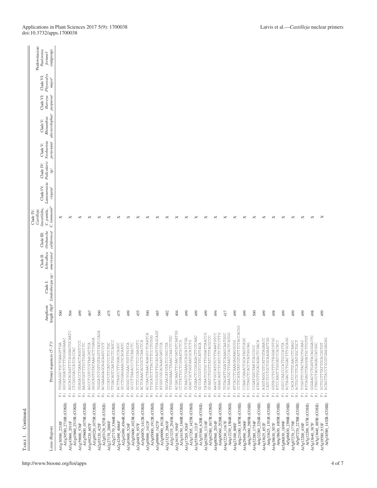| Continued<br>ТАВLЕ 1.                                                 |                                                                                                                                     |          |                                                                    |                                                  |                                                     |                                                                                        |                                                              |                         |                                                 |                                                       |                                               |                                      |                                                                    |
|-----------------------------------------------------------------------|-------------------------------------------------------------------------------------------------------------------------------------|----------|--------------------------------------------------------------------|--------------------------------------------------|-----------------------------------------------------|----------------------------------------------------------------------------------------|--------------------------------------------------------------|-------------------------|-------------------------------------------------|-------------------------------------------------------|-----------------------------------------------|--------------------------------------|--------------------------------------------------------------------|
| Locus (Region)                                                        | Primer sequences $(5' - 3')^a$                                                                                                      | Amplicon | length (bp) <sup>b</sup> Lindenbergia sp. <sup>c</sup><br>Clade I: | americana <sup>c</sup><br>Schwalbea<br>Clade II: | californica <sup>c</sup><br>Orobanche<br>Clade III: | C. lemnonii <sup>d</sup><br>lineariloba,<br>$C.$ $pumila$ ,<br>Castilleja<br>Clade IV: | Lamourouxia Pedicularis<br>Clade IV:<br>virgata <sup>e</sup> | Clade IV:<br>$^{\circ}$ | Neobartsia<br>$pervvar \mathcal{C}$<br>Clade V: | alectorolophus <sup>c</sup><br>Rhinanthus<br>Clade V: | purpurea <sup>c</sup><br>Clade VI:<br>Harveya | Physocalyx<br>Clade VI:<br>$major^c$ | Paulowniaceae:<br>Paulownia<br>(outgroup)<br>fortunei <sup>c</sup> |
| At1g30580_2218F                                                       | TGGAAGGCTGCTGAAGTTGA<br>$\ddot{\Xi}$ $\dddot{\Xi}$                                                                                  | 500      |                                                                    |                                                  |                                                     | ×                                                                                      |                                                              |                         |                                                 |                                                       |                                               |                                      |                                                                    |
| Atlg30580_2718R (COSII)<br>Atlg43860_2515R (COSII)<br>At1g43860_2011F | AGCATACAATTTCAGGAGTGCAATC<br>GGCATGGATCTTTGGGAGAAAC<br>CTCGGCGACCATCACCAC<br>$\ddot{\tilde{\omega}}$<br>$\ddot{\underline{\kappa}}$ | 504      |                                                                    |                                                  |                                                     | ×                                                                                      |                                                              |                         |                                                 |                                                       |                                               |                                      |                                                                    |
| Atlg59600_1075R (COSII)<br>At1g59600_576F                             | GGAGACCTGAAACTAGCTCC<br>AAGCTGCTGCTGCTGAGG<br>$\ddot{\tilde{E}}$ is                                                                 | 499      |                                                                    |                                                  |                                                     | ×                                                                                      |                                                              |                         |                                                 |                                                       |                                               |                                      |                                                                    |
| Atlg69220_1075R (COSII)<br>At1g69220_607F                             | GGGCAGTGTATAAAGCTCGAGA<br>AGCCTCGTCCGTAACATTCA<br>$\ddot{\tilde{K}}$<br>$\dot{\tilde{\mathbf{h}}}$                                  | 467      |                                                                    |                                                  |                                                     | ×                                                                                      |                                                              |                         |                                                 |                                                       |                                               |                                      |                                                                    |
| At2g03120_925R (COSII)<br>At2g03120_425F                              | TGGGATCTGTTGTAGTTATCCAGA<br>ACGAAAGAGCAGCAATCCCT<br>$\stackrel{\ldots}{\bowtie} \stackrel{\ldots}{\varpropto}$                      | 500      |                                                                    |                                                  |                                                     | ×                                                                                      |                                                              |                         |                                                 |                                                       |                                               |                                      |                                                                    |
| At2g27170_3366R (COSII)<br>At2g27170_2888F                            | TTGACAGTCAATGGCTCAGC<br>CCCATCTTCATCCCTCCTGC<br>$\stackrel{\ldots}{\bowtie} \stackrel{\ldots}{\varpropto}$                          | 475      |                                                                    |                                                  |                                                     | ×                                                                                      |                                                              |                         |                                                 |                                                       |                                               |                                      |                                                                    |
| At2g42490_4564R (COSII)<br>At2g42490_4066F                            | GCCTGGAGAAACGCACAATC<br>ACTTAGCCTTTGGACCAGCC<br>$\stackrel{\ldots}{\bowtie} \stackrel{\ldots}{\bowtie}$                             | 475      |                                                                    |                                                  |                                                     | ×                                                                                      |                                                              |                         |                                                 |                                                       |                                               |                                      |                                                                    |
| At3g03600_1023R (COSII)<br>At3g03600_524F                             | AGGGCTCGAACTGTTGTCA<br>GCCCTTAAACCTGCAACTC<br>$\stackrel{\ldots}{\bowtie} \stackrel{\ldots}{\varpropto}$                            | 499      |                                                                    |                                                  |                                                     | ×                                                                                      |                                                              |                         |                                                 |                                                       |                                               |                                      |                                                                    |
| At3g04870_1412R (COSII)<br>At3g04870_957F                             | ACTCAAACACGGCTCAACTCA<br>TCTTCCCATCTCCCAAGGTC<br>$\ddot{\mathbb{E}}$ is                                                             | 455      |                                                                    |                                                  |                                                     | ×                                                                                      |                                                              |                         |                                                 |                                                       |                                               |                                      |                                                                    |
| At3g05000_1912R (COSII)<br>At3g05000_1412F                            | ACCAACTAAACAGAGCCTCAATCA<br><b>COLODODERIO ARENDESER</b><br>$\ddot{\mathbb{E}}$ is                                                  | 500      |                                                                    |                                                  |                                                     | ×                                                                                      |                                                              |                         |                                                 |                                                       |                                               |                                      |                                                                    |
| At3g09090_1912R (COSII)<br>At3g09090_1427F                            | TTTCGTGTTGCATAGTTRGCAGT<br>ATGGCCGCACAAATGATCCA<br>$\stackrel{\cdot\cdot}{\simeq}$<br>$\ddot{\underline{\mathbf{h}}}$               | 485      |                                                                    |                                                  |                                                     | ×                                                                                      |                                                              |                         |                                                 |                                                       |                                               |                                      |                                                                    |
| At3g13235_2545R (COSII)<br>At3g13235_2063F                            | TTGGGAAACTAAACCAACTCTGC<br>GGCAACATGTATCCGCCTA<br>$\ddot{\underline{\mathbf{h}}}$<br>$\ddot{\underline{\kappa}}$                    | 482      |                                                                    |                                                  |                                                     | ×                                                                                      |                                                              |                         |                                                 |                                                       |                                               |                                      |                                                                    |
| At3g16150_1360R (COSII)<br>At3g16150_956F                             | ACGACAAGTTCAACGATATCAATGG<br>CCTTATTGCTCGAATGCTCG<br>$\ddot{\mathbb{E}}$ is                                                         | 404      |                                                                    |                                                  |                                                     | ×                                                                                      |                                                              |                         |                                                 |                                                       |                                               |                                      |                                                                    |
| At3g17205_1425R (COSII)<br>At3g17205_926F                             | TCAAGTCGAAACCAGCATCTGA<br>GGACTGCTGCTANTGCATC<br>$\ddot{\underline{\epsilon}}$<br>$\ddot{\tilde{K}}$                                | 499      |                                                                    |                                                  |                                                     | ×                                                                                      |                                                              |                         |                                                 |                                                       |                                               |                                      |                                                                    |
| At3g55360_620R (COSII)<br>At3g55360_121F                              | CAGAACTCCGGAGACTTCTCAAC<br>GCCCACCGTCCTTCATTACA<br>$\stackrel{\ldots}{\bowtie} \stackrel{\ldots}{\bowtie}$                          | 499      |                                                                    |                                                  |                                                     | ×                                                                                      |                                                              |                         |                                                 |                                                       |                                               |                                      |                                                                    |
| At3g62580_1817R (COSII)<br>At3g62580_1318F                            | CATAATGCTTGGGATTAACCG<br>GCAATCTGGTTATCTTRCGCCC<br>$\stackrel{\ldots}{\mathbb{R}}\stackrel{\ldots}{\mathbb{R}}$                     | 499      |                                                                    |                                                  |                                                     | ×                                                                                      |                                                              |                         |                                                 |                                                       |                                               |                                      |                                                                    |
| At4g00560_2528R (COSII)<br>At4g00560_2034F                            | GAACAGUCTOURCHONACHE<br>AAGCTGCCATGTCTTAAATGTCC<br>$\ddot{\underline{\epsilon}}$<br>$\ddot{\bf k}$                                  | 494      |                                                                    |                                                  |                                                     | ×                                                                                      |                                                              |                         |                                                 |                                                       |                                               |                                      |                                                                    |
| At4g12230_1584R (COSII)<br>At4g12230_1167F                            | TGTAGATTGGATCAAAGCAATGGC<br>TCAAATGCTTGAATCCACTCATGG<br>$\stackrel{}{\bowtie} \stackrel{}{\bowtie}$                                 | 417      |                                                                    |                                                  |                                                     | ×                                                                                      |                                                              |                         |                                                 |                                                       |                                               |                                      |                                                                    |
| At4g23100_1307R (COSII)<br>At4g23100_808F                             | CCTTCATATATTTTTTTCTACCACGG<br>ATCACCTCAAAGAAAGCGG<br>$\stackrel{\leftrightarrow}{\bowtie} \stackrel{\leftrightarrow}{\bowtie}$      | 499      |                                                                    |                                                  |                                                     | ×                                                                                      |                                                              |                         |                                                 |                                                       |                                               |                                      |                                                                    |
| At4g29490_2905R (COSII)<br>At4g29490_2406F                            | CCAACCAAACTGCATAGTCAGC<br>CCTAGCTCACCTCATGGCAG<br>$\ddot{\tilde{h}}$<br>$\stackrel{}{\simeq}$                                       | 499      |                                                                    |                                                  |                                                     | ×                                                                                      |                                                              |                         |                                                 |                                                       |                                               |                                      |                                                                    |
| At4g32280_2254R (COSII)<br>At4g32280_1754F                            | ATACGTTGCACAGACTCGACA<br>CCGATGGCTAATCACCGCC<br>$\ddot{\mathbb{E}}$ is                                                              | 500      |                                                                    |                                                  |                                                     | ×                                                                                      |                                                              |                         |                                                 |                                                       |                                               |                                      |                                                                    |
| At4g33625_1351R (COSII)<br>At4g33625_852F                             | AGGTAGGCGTCATTGTAGAACC<br>CATCTGCTGCAAGAATTGG<br>$\ddot{\tilde{E}}$<br>$\ddot{\bf k}$                                               | 499      |                                                                    |                                                  |                                                     | ×                                                                                      |                                                              |                         |                                                 |                                                       |                                               |                                      |                                                                    |
| At4g38630_1005R (COSII)<br>At4g38630_507F                             | CGTACCTCTTTTTTTTTACACCTC<br>ATCCAAGTTGGATCCACACC<br>$\ddot{\Xi}$<br>$\ddot{\tilde{\kappa}}$                                         | 498      |                                                                    |                                                  |                                                     | ×                                                                                      |                                                              |                         |                                                 |                                                       |                                               |                                      |                                                                    |
| At5g06830_2398R (COSII)<br>At5g06830_1899F                            | ACTAGACTCHOROPORCA<br>GGCCCAACCCATTGCCATTA<br>$\ddot{\Xi}$ :                                                                        | 499      |                                                                    |                                                  |                                                     | ×                                                                                      |                                                              |                         |                                                 |                                                       |                                               |                                      |                                                                    |
| At5g07270_2278R (COSI)<br>At5g07270_1779F                             | CACATCCTTGCAACCTCAAGC<br>ACTGCTCTTCATATGCTGCT<br>$\ddot{\underline{\mathbf{h}}}$<br>$\ddot{\underline{\kappa}}$                     | 499      |                                                                    |                                                  |                                                     | ×                                                                                      |                                                              |                         |                                                 |                                                       |                                               |                                      |                                                                    |
| At5g12200_937R (COSII)<br>At5g12200_438F                              | ATCAGAGTTAGGGATGCTTGTGT<br>TCGGTTCCTACTAGCTGCAAC<br>$\ddot{\tilde{E}}$<br>$\ddot{\cong}$                                            | 499      |                                                                    |                                                  |                                                     | ×                                                                                      |                                                              |                         |                                                 |                                                       |                                               |                                      |                                                                    |
| At5g13640_885R (COSII)<br>At5g13640_387F                              | GGGAACTCTGATTACAGGACTC<br>CTAGCCTACGAGACCTCC<br>$\ddot{\tilde{\mathbf{z}}}$<br>Ė,                                                   | 498      |                                                                    |                                                  |                                                     | ×                                                                                      |                                                              |                         |                                                 |                                                       |                                               |                                      |                                                                    |
| At5g18580_1432R (COSII)<br>At5g18580_933F                             | ACAGTTACCTGCGTGAAGAGAG<br>GCTGCTTTATTGCACGGTGT<br>$\ddot{\Xi}$ is                                                                   | 499      |                                                                    |                                                  |                                                     | ×                                                                                      |                                                              |                         |                                                 |                                                       |                                               |                                      |                                                                    |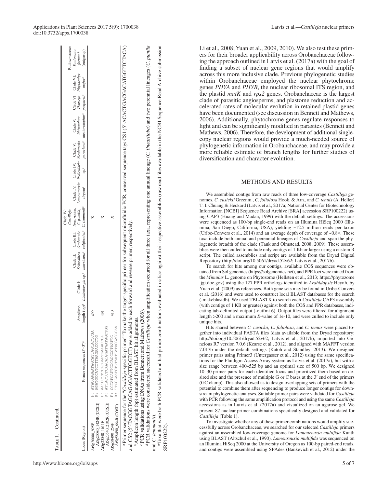| TABLE 1. Continued.                        |                                                                                                                                                                                                                                                                                                             |                                                                                                                                                                              |                                                                                                                                             |                         |        |                                                                                                           |                                                              |                                                       |
|--------------------------------------------|-------------------------------------------------------------------------------------------------------------------------------------------------------------------------------------------------------------------------------------------------------------------------------------------------------------|------------------------------------------------------------------------------------------------------------------------------------------------------------------------------|---------------------------------------------------------------------------------------------------------------------------------------------|-------------------------|--------|-----------------------------------------------------------------------------------------------------------|--------------------------------------------------------------|-------------------------------------------------------|
| Locus (Region)                             | Primer sequences (5'-3') <sup>a</sup>                                                                                                                                                                                                                                                                       | length (bp) <sup>b</sup> Lindenbergia sp. <sup>c</sup> americana <sup>c</sup> californica <sup>c</sup> C. lemnonii <sup>d</sup> virgata <sup>c</sup><br>Clade I:<br>Amplicon | Schwalbea Orobanche C. pumila, Lamourouxia Pedicularis Neobartsia<br>Clade II: Clade III: <i>lineariloba</i> , Clade IV: Clade IV: Clade V: | Castilleja<br>Clade IV: | $sp^c$ | peruviana <sup>c</sup> alectorolophus <sup>c</sup> purpurea <sup>c</sup> major <sup>c</sup><br>Rhinanthus | Clade V: Clade VI: Clade VI: Paulownia<br>Harveya Physocalyx | Paulowniaceae:<br>(outgroup)<br>fortunei <sup>c</sup> |
| At5g20080_1424R (COSII)<br>At5g20080_925F  | F: ATACGAGAATAGCATTGGTACTCGA<br>R: AGATGCCATCCTTAAGAACCCTG                                                                                                                                                                                                                                                  | 499                                                                                                                                                                          |                                                                                                                                             |                         |        |                                                                                                           |                                                              |                                                       |
| At5g23540_2102R (COSII)<br>At5g23540_1611F | R: ATTACTCAACATGAATAATTGTTGG<br>F: AATCCTTCCATGAGTGAAACCCA                                                                                                                                                                                                                                                  | $\frac{491}{2}$                                                                                                                                                              |                                                                                                                                             |                         |        |                                                                                                           |                                                              |                                                       |
| At5g58490_664R (COSII)<br>At5g58490 254F   | R: TTGCAAATCTAATTATAGGACCCAA<br>UPIARTDOUCOUROUDEROFATUS : H                                                                                                                                                                                                                                                | 410                                                                                                                                                                          |                                                                                                                                             |                         |        |                                                                                                           |                                                              |                                                       |
|                                            | a Primer sequence for the "Castilleja-specific primer." To make the target-specific primer for subsequent microfluidic PCR, conserved sequence tags CS1 (5'-ACACOACOATCTACA)<br>and CS2 (5'-TACGGTAGCAGAGACTTGGTCT) were added to<br><sup>b</sup> Amplicon length (bp) estimated from BLAST hit alignments. | each forward and reverse primer, respectively.                                                                                                                               |                                                                                                                                             |                         |        |                                                                                                           |                                                              |                                                       |
| and C Iammanii)                            | <sup>4</sup> PCR validations were considered successful for <i>Castilleja</i> when amplification occurred for all three taxa, representing one annual lineage ( <i>C. lineariloba</i> ) and two perennial lineages ( <i>C. pumila</i><br>PCR validations using DNAs from Bennett and Mathews (2006).        |                                                                                                                                                                              |                                                                                                                                             |                         |        |                                                                                                           |                                                              |                                                       |

and *C. lemmonii*).<br>"Taxa that were both PCR validated and had primer combinations evaluated in silico against their respective assemblies (raw read files available in the NCBI Sequence Read Archive submission and C. lemmonii).

Taxa that were both PCR validated and had primer combinations evaluated in silico against their respective assemblies (raw read files available in the NCBI Sequence Read Archive submission

SRP100222).

SRP100222)

Li et al., 2008; Yuan et al., 2009, 2010). We also test these primers for their broader applicability across Orobanchaceae following the approach outlined in Latvis et al. (2017a) with the goal of finding a subset of nuclear gene regions that would amplify across this more inclusive clade. Previous phylogenetic studies within Orobanchaceae employed the nuclear phytochrome genes *PHYA* and *PHYB*, the nuclear ribosomal ITS region, and the plastid *matK* and *rps2* genes. Orobanchaceae is the largest clade of parasitic angiosperms, and plastome reduction and accelerated rates of molecular evolution in retained plastid genes have been documented (see discussion in Bennett and Mathews, 2006). Additionally, phytochrome genes regulate responses to light and can be significantly modified in parasites (Bennett and Mathews, 2006). Therefore, the development of additional singlecopy nuclear regions would provide a much-needed source of phylogenetic information in Orobanchaceae, and may provide a more reliable estimate of branch lengths for further studies of diversification and character evolution. METHODS AND RESULTS We assembled contigs from raw reads of three low-coverage *Castilleja* genomes, *C. cusickii* Greenm., *C. foliolosa* Hook. & Arn., and *C. tenuis* (A. Heller) T. I. Chuang & Heckard (Latvis et al., 2017a; National Center for Biotechnology Information [NCBI] Sequence Read Archive [SRA] accession SRP100222) using CAP3 (Huang and Madan, 1999) with the default settings. The accessions were sequenced as 100-bp single-end reads on an Illumina HiSeq 2000 (Illumina, San Diego, California, USA), yielding ~12.5 million reads per taxon (Uribe-Convers et al., 2014) and an average depth of coverage of ~0.8×. These taxa include both annual and perennial lineages of *Castilleja* and span the phylogenetic breadth of the clade (Tank and Olmstead, 2008, 2009). These assemblies were then culled to include only contigs of 1 Kb or larger using a custom R script. The culled assemblies and script are available from the Dryad Digital Repository [\(http://doi.org/10.5061/dryad.52v62;](http://doi.org/10.5061/dryad.52v62) Latvis et al., 2017b).

To search for hits among our contigs, available COS sequences were obtained from Sol genomics [\(https://solgenomics.net](https://solgenomics.net)), and PPR loci were mined from the *Mimulus* L. genome on Phytozome (Hellsten et al., 2013; [https://phytozome](https://phytozome.jgi.doe.gov) [.jgi.doe.gov\)](https://phytozome.jgi.doe.gov) using the 127 PPR orthologs identified in *Arabidopsis* Heynh. by Yuan et al. (2009) as references. Both gene sets may be found in Uribe-Convers et al. (2016) and were used to construct local BLAST databases for the search (-makeblastdb). We used TBLASTX to search each *Castilleja* CAP3 assembly (with contigs of 1 KB or greater) against both the COS and PPR databases, indicating tab-delimited output (-outfmt 6). Output files were filtered for alignment length >200 and a maximum *E*-value of 1e-10, and were culled to include only unique hits.

Hits shared between *C. cusickii*, *C. foliolosa*, and *C*. *tenuis* were placed together into individual FASTA files (data available from the Dryad repository: <http://doi.org/10.5061/dryad.52v62>; Latvis et al., 2017b), imported into Geneious R7 version 7.0.6 (Kearse et al., 2012), and aligned with MAFFT version 7.017b under the default settings (Katoh and Standley, 2013). We designed primer pairs using Primer3 (Untergasser et al., 2012) using the same specifications for the Fluidigm Access Array system as Latvis et al. (2017a), but with a size range between 400–525 bp and an optimal size of 500 bp. We designed 10–30 primer pairs for each identified locus and prioritized them based on desired size and the presence of multiple G or C bases at the 3′ end of the primers (GC clamp). This also allowed us to design overlapping sets of primers with the potential to combine them after sequencing to produce longer contigs for downstream phylogenetic analyses. Suitable primer pairs were validated for *Castilleja* with PCR following the same amplification protocol and using the same *Castilleja* accessions as in Latvis et al. (2017a) and visualized on an agarose gel. We present 87 nuclear primer combinations specifically designed and validated for *Castilleja* (Table 1).

To investigate whether any of these primer combinations would amplify successfully across Orobanchaceae, we searched for our selected *Castilleja* primers against an assembled low-coverage genome for *Lamourouxia multifida* Kunth using BLAST (Altschul et al., 1990). *Lamourouxia multifida* was sequenced on an Illumina HiSeq 2000 at the University of Oregon as 100-bp paired-end reads, and contigs were assembled using SPAdes (Bankevich et al., 2012) under the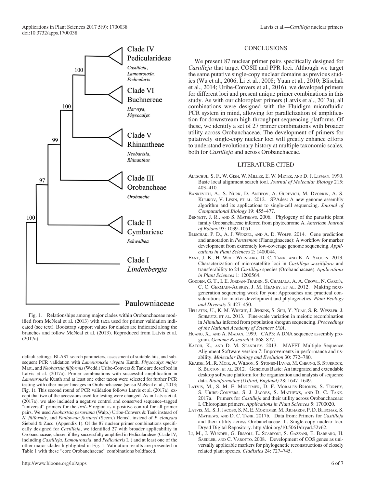

Fig. 1. Relationships among major clades within Orobanchaceae modified from McNeal et al. (2013) with taxa used for primer validation indicated (see text). Bootstrap support values for clades are indicated along the branches and follow McNeal et al. (2013). Reproduced from Latvis et al. (2017a).

default settings. BLAST search parameters, assessment of suitable hits, and subsequent PCR validation with *Lamourouxia virgata* Kunth, *Physocalyx major* Mart., and *Neobartsia filiformis* (Wedd.) Uribe-Convers & Tank are described in Latvis et al. (2017a). Primer combinations with successful amplification in *Lamourouxia* Kunth and at least one other taxon were selected for further PCR testing with other major lineages in Orobanchaceae (sensu McNeal et al., 2013; Fig. 1). This second round of PCR validation follows Latvis et al. (2017a), except that two of the accessions used for testing were changed. As in Latvis et al. (2017a), we also included a negative control and conserved sequence–tagged "universal" primers for the *trnL-F* region as a positive control for all primer pairs. We used *Neobartsia peruviana* (Walp.) Uribe-Convers & Tank instead of *N. filiformis*, and *Paulownia fortunei* (Seem.) Hemsl. instead of *P. elongata* Siebold & Zucc. (Appendix 1). Of the 87 nuclear primer combinations specifically designed for *Castilleja*, we identified 27 with broader applicability in Orobanchaceae, chosen if they successfully amplified in Pedicularideae (Clade IV; including *Castilleja*, *Lamourouxia*, and *Pedicularis* L.) and at least one of the other major clades highlighted in Fig. 1. Validation results are presented in Table 1 with these "core Orobanchaceae" combinations boldfaced.

#### **CONCLUSIONS**

We present 87 nuclear primer pairs specifically designed for *Castilleja* that target COSII and PPR loci. Although we target the same putative single-copy nuclear domains as previous studies (Wu et al., 2006; Li et al., 2008; Yuan et al., 2010; Blischak et al., 2014; Uribe-Convers et al., 2016), we developed primers for different loci and present unique primer combinations in this study. As with our chloroplast primers (Latvis et al., 2017a), all combinations were designed with the Fluidigm microfluidic PCR system in mind, allowing for parallelization of amplification for downstream high-throughput sequencing platforms. Of these, we identify a set of 27 primer combinations with broader utility across Orobanchaceae. The development of primers for putatively single-copy nuclear loci will greatly enhance efforts to understand evolutionary history at multiple taxonomic scales, both for *Castilleja* and across Orobanchaceae.

#### LITERATURE CITED

- Altschul, S. F., W. Gish, W. Miller, E. W. Meyer, and D. J. Lipman. 1990. Basic local alignment search tool. *Journal of Molecular Biology* 215: 403–410.
- Bankevich, A., S. Nurk, D. Antipov, A. Gurevich, M. Dvorkin, A. S. KULIKOV, V. LESIN, ET AL. 2012. SPAdes: A new genome assembly algorithm and its applications to single-cell sequencing. *Journal of Computational Biology* 19: 455–477.
- BENNETT, J. R., AND S. MATHEWS. 2006. Phylogeny of the parasitic plant family Orobanchaceae inferred from phytochrome A. *American Journal of Botany* 93: 1039–1051.
- Blischak, P. D., A. J. Wenzel, and A. D. Wolfe. 2014. Gene prediction and annotation in *Penstemon* (Plantaginaceae): A workflow for marker development from extremely low-coverage genome sequencing. *Applications in Plant Sciences* 2: 1400044.
- Fant, J. B., H. Wolf-Weinberg, D. C. Tank, and K. A. Skogen. 2013. Characterization of microsatellite loci in *Castilleja sessiliflora* and transferability to 24 *Castilleja* species (Orobanchaceae). *Applications in Plant Sciences* 1: 1200564.
- Godden, G. T., I. E. Jordan-Thaden, S. Chamala, A. A. Crowl, N. García, C. C. Germain-Aubrey, J. M. Heaney, et al. 2012. Making nextgeneration sequencing work for you: Approaches and practical considerations for marker development and phylogenetics. *Plant Ecology and Diversity* 5: 427–450.
- Hellsten, U., K. M. Wright, J. Jenkins, S. Shu, Y. Yuan, S. R. Wessler, J. SCHMUTZ, ET AL. 2013. Fine-scale variation in meiotic recombination in *Mimulus* inferred from population shotgun sequencing. *Proceedings of the National Academy of Sciences USA*.
- HUANG, X., AND A. MADAN. 1999. CAP3: A DNA sequence assembly program. *Genome Research* 9: 868–877.
- Katoh, K., and D. M. Standley. 2013. MAFFT Multiple Sequence Alignment Software version 7: Improvements in performance and usability. *Molecular Biology and Evolution* 30: 772–780.
- Kearse, M.,R. Moir, A. Wilson, S. Stones-Havas, M.Cheung, S. Sturrock, S. BUXTON, ET AL. 2012. Geneious Basic: An integrated and extendable desktop software platform for the organization and analysis of sequence data. *Bioinformatics (Oxford, England)* 28: 1647–1649.
- Latvis, M., S. M. E. Mortimer, D. F. Morales-Briones, S. Torpey, S. Uribe-Convers, S. J. Jacobs, S. Mathews, and D. C. Tank. 2017a. Primers for *Castilleja* and their utility across Orobanchaceae: I. Chloroplast primers. *Applications in Plant Sciences* 5: 1700020.
- Latvis, M., S. J.Jacobs, S. M. E. Mortimer, M. Richards, P. D. Blischak, S. Mathews, and D. C. Tank. 2017b. Data from: Primers for *Castilleja* and their utility across Orobanchaceae. II. Single-copy nuclear loci. Dryad Digital Repository. [http://doi.org/10.5061/dryad.52v62.](http://doi.org/10.5061/dryad.52v62)
- Li, M., J. Wunder, G. Bissoli, E. Scarponi, S. Gazzani, E. Barbaro, H. SAEDLER, AND C. VAROTTO. 2008. Development of COS genes as universally applicable markers for phylogenetic reconstructions of closely related plant species. *Cladistics* 24: 727–745.